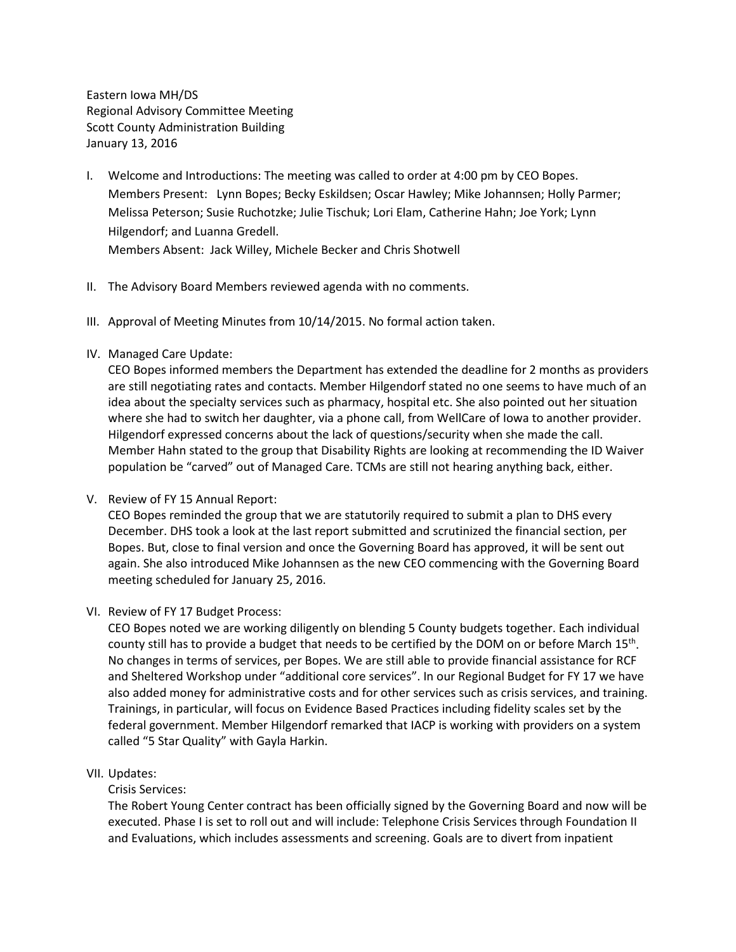Eastern Iowa MH/DS Regional Advisory Committee Meeting Scott County Administration Building January 13, 2016

- I. Welcome and Introductions: The meeting was called to order at 4:00 pm by CEO Bopes. Members Present: Lynn Bopes; Becky Eskildsen; Oscar Hawley; Mike Johannsen; Holly Parmer; Melissa Peterson; Susie Ruchotzke; Julie Tischuk; Lori Elam, Catherine Hahn; Joe York; Lynn Hilgendorf; and Luanna Gredell. Members Absent: Jack Willey, Michele Becker and Chris Shotwell
- II. The Advisory Board Members reviewed agenda with no comments.
- III. Approval of Meeting Minutes from 10/14/2015. No formal action taken.
- IV. Managed Care Update:

CEO Bopes informed members the Department has extended the deadline for 2 months as providers are still negotiating rates and contacts. Member Hilgendorf stated no one seems to have much of an idea about the specialty services such as pharmacy, hospital etc. She also pointed out her situation where she had to switch her daughter, via a phone call, from WellCare of Iowa to another provider. Hilgendorf expressed concerns about the lack of questions/security when she made the call. Member Hahn stated to the group that Disability Rights are looking at recommending the ID Waiver population be "carved" out of Managed Care. TCMs are still not hearing anything back, either.

V. Review of FY 15 Annual Report:

CEO Bopes reminded the group that we are statutorily required to submit a plan to DHS every December. DHS took a look at the last report submitted and scrutinized the financial section, per Bopes. But, close to final version and once the Governing Board has approved, it will be sent out again. She also introduced Mike Johannsen as the new CEO commencing with the Governing Board meeting scheduled for January 25, 2016.

VI. Review of FY 17 Budget Process:

CEO Bopes noted we are working diligently on blending 5 County budgets together. Each individual county still has to provide a budget that needs to be certified by the DOM on or before March  $15<sup>th</sup>$ . No changes in terms of services, per Bopes. We are still able to provide financial assistance for RCF and Sheltered Workshop under "additional core services". In our Regional Budget for FY 17 we have also added money for administrative costs and for other services such as crisis services, and training. Trainings, in particular, will focus on Evidence Based Practices including fidelity scales set by the federal government. Member Hilgendorf remarked that IACP is working with providers on a system called "5 Star Quality" with Gayla Harkin.

VII. Updates:

Crisis Services:

The Robert Young Center contract has been officially signed by the Governing Board and now will be executed. Phase I is set to roll out and will include: Telephone Crisis Services through Foundation II and Evaluations, which includes assessments and screening. Goals are to divert from inpatient